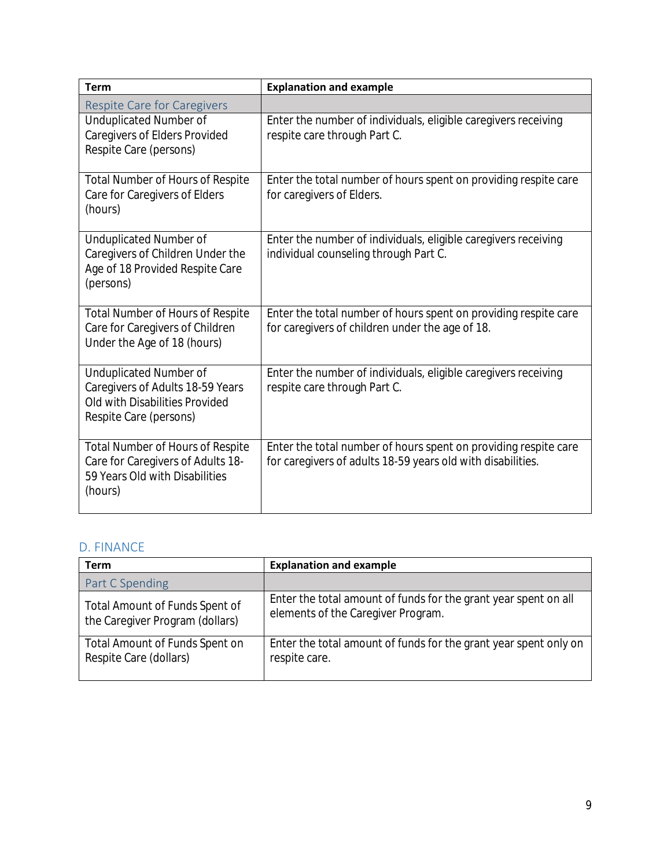OMB No. 0985-0007 Expiration Date: 04/30/2022

# ADMINISTRATION FOR COMMUNITY LIVING ADMINISTRATION ON AGING TITLE VI PROGRAM PERFORMANCE REPORT

**Report Period April 1, [year] – March 31, [year]**

**Title VI, Parts A/B and C \_\_\_\_\_\_\_ Title VI, Part A/B only \_\_\_\_\_\_**

Grantee Name \_\_\_\_\_\_\_\_\_\_\_\_\_\_\_\_\_\_\_\_\_\_\_\_\_\_\_\_\_\_\_\_\_\_\_\_\_\_\_\_\_\_\_\_\_\_\_\_\_\_\_\_\_\_\_\_\_\_\_\_\_

Telephone\_\_\_\_\_\_\_\_\_\_\_\_\_\_\_\_\_\_\_\_\_\_\_\_\_\_\_\_\_\_\_ Email address\_\_\_\_\_\_\_\_\_\_\_\_\_\_\_\_\_\_\_\_\_\_\_\_\_\_

Part A/B Grant No. \_\_\_\_\_\_\_\_\_\_\_\_ Part C Grant No. \_\_\_\_\_\_\_\_\_\_\_\_ **------------------------------------------------------------------------------------------------------------------------------------------**

# **TITLE VI, PART A/B REPORT**

## **A. STAFFING INFORMATION**

Enter the number of staff paid wholly or partly by Title VI, Part A/B funds.

|                 | Full-time staff |           |
|-----------------|-----------------|-----------|
| Full-time staff |                 | Person(s) |
|                 | Part-time staff |           |
| Part-time staff |                 | Person(s) |

## **B. NUTRITION SERVICES**

#### Congregate Meals

| Unduplicated number of eligible persons who received one |  | Person(s) |
|----------------------------------------------------------|--|-----------|
| or more <b>Congregate Meal(s)</b> .                      |  |           |
| Total number of Congregate Meals served.                 |  | Meal(s)   |

#### Home-Delivered Meals

| Unduplicated number of eligible persons who received one or<br>more <b>Home-delivered Meal(s).</b> | Person(s) |
|----------------------------------------------------------------------------------------------------|-----------|
| Total number of <b>Home-delivered Meals</b> provided.                                              | Meal(s)   |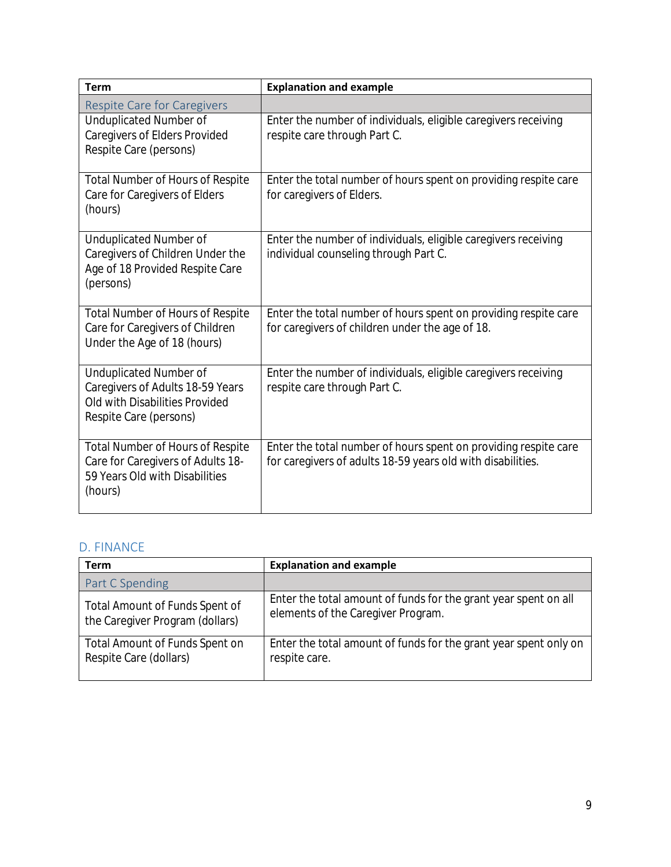## Other Nutrition Services

| Total number of sessions of Nutrition Education.                   | Session(s) |
|--------------------------------------------------------------------|------------|
| Total number of persons who received <b>Nutrition Counseling</b> . | Person(s)  |
| Total number of hours of <b>Nutrition Counseling</b> .             | Hour(s)    |

## **C. SUPPORTIVE SERVICES**

### Access Services

| Total number of contacts of Information/Assistance.      | Contact(s)        |
|----------------------------------------------------------|-------------------|
| Total number of Outreach activities.                     | <b>Activities</b> |
| Unduplicated number of persons receiving Case            |                   |
| Management.                                              | Person(s)         |
| Total number of hours of Case Management.                | Hour(s)           |
| Unduplicated number of persons receiving Transportation. | Person(s)         |
|                                                          | One-way           |
| Total one-way trips of Transportation.                   | trip(s)           |

### In-home Services

| Unduplicated number of persons receiving Homemaker       | Person(s)  |
|----------------------------------------------------------|------------|
| Services.                                                |            |
| Total number of hours of Homemaker Services.             | Hour(s)    |
| Unduplicated number of persons receiving Personal        | Person(s)  |
| <b>Care/Home Health Aid Services.</b>                    |            |
| Total number of hours of Personal Care/Home Health Aid   | Hour(s)    |
| Service.                                                 |            |
| Unduplicated number of persons receiving Chore Services. | Person(s)  |
| Total number of hours spent on Chore Services.           | Hour(s)    |
| Total number of contacts of Visiting.                    | Contact(s) |
| Total number of contacts of Telephoning.                 | Contact(s) |

## Other Supportive Services

| Total number of Social Events held.                                                               | Event(s)  |
|---------------------------------------------------------------------------------------------------|-----------|
| Total number of persons receiving Health Promotion and<br><b>Wellness activities.</b>             | Person(s) |
| Total number of visits to persons in nursing facilities/homes<br>or residential care communities. | Visit(s)  |

Optional space for other supportive services offered that are not listed above (1500 words or less):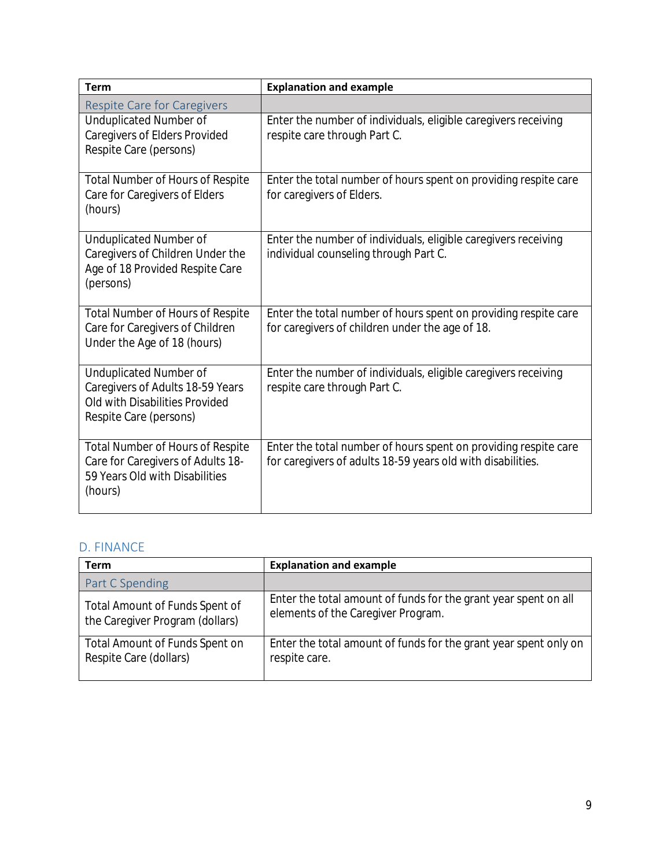## **D. FINANCE**

## Part A/B Spending

| Total amount of funds spent on Congregate and Home-<br>delivered Meals. | <b>Dollars</b> |
|-------------------------------------------------------------------------|----------------|
| Total amount of funds spent on Supportive Services<br>Programming.      | <b>Dollars</b> |

Optional explanation of elements included in total amount of funds (1500 words or less):

### What other sources of funds help you support your Title VI services:

| Tribal funds     | Yes or No |
|------------------|-----------|
| State funds      | Yes or No |
| Title III funds  | Yes or No |
| Other grants     | Yes or No |
| <b>Donations</b> | Yes or No |

*This finance section will be an addendum to the 425. This will NOT be used for audits.*

## **E. STORYTELLING**

Please share an example of how your Title VI program has helped an individual or your community (1500 words or less):

\*\*OFFICIAL SIGNATURE\*\* - If only completing Title VI, Part A/B of this report go to page [insert page] to sign and date.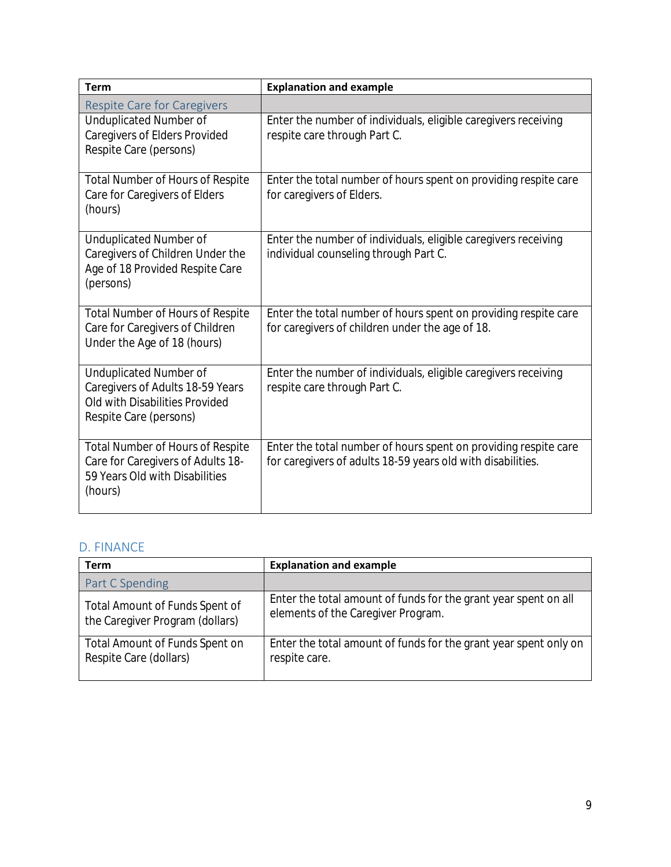# **TITLE VI, PART C REPORT**

## **A. STAFFING INFORMATION**

Enter the number of staff paid wholly or partly by Title VI, Part C funds.

|                 | Full-time staff |           |
|-----------------|-----------------|-----------|
| Full-time staff |                 | Person(s) |
|                 |                 |           |
|                 | Part-time staff |           |

| י טוע טוווע טעטוו          |  |  |
|----------------------------|--|--|
| - 11<br>t-time staff.<br>້ |  |  |
|                            |  |  |

## **B. TOTAL CAREGIVERS SERVED**

*Caregivers served by the Title VI program are informal, unpaid providers of in-home and community care. Caregivers may be family members, neighbors, friends, or others.*

| Unduplicated number of caregivers to Elders or         |  |           |
|--------------------------------------------------------|--|-----------|
| individuals of any age with Alzheimer's disease and    |  | Person(s) |
| related disorders.                                     |  |           |
| Unduplicated number of Elder caregivers caring for     |  | Person(s) |
| children under the age of 18.                          |  |           |
| Unduplicated number of Elder caregivers providing care |  |           |
| to adults 18-59 years old with disabilities.           |  | Person(s) |

## **C. CAREGIVER SUPPORT SERVICES**

#### Services for Caregivers

| Total number of activities of Information Services<br>provided.     | <b>Activities</b> |  |
|---------------------------------------------------------------------|-------------------|--|
|                                                                     |                   |  |
| Total number of contacts of Information and Assistance<br>provided. | Contact(s)        |  |
| Unduplicated number of caregivers receiving Counseling              | Person(s)         |  |
| (e.g. formal and/or informal counselors).                           |                   |  |
| Total number of hours of Counseling.                                | Hour(s)           |  |
| Total number of sessions of Support Group.                          | Session(s)        |  |
| Unduplicated number of caregivers served in Caregiver               |                   |  |
| Training.                                                           | Person(s)         |  |
| Total number of hours of Caregiver Training.                        | Hour(s)           |  |

**Supplemental Services**: (report on units provided, unduplicated caregivers served, service category) **Service Category Description of Service Unduplicated Caregivers**

There will be a dropdown menu of service categories: **Home Modification/Repairs, Consumable Items, Lending Closet, Homemaker/Chore/Personal Care Service, Financial Support, Other**.